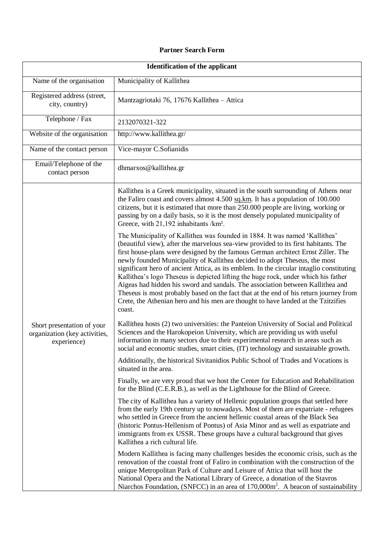## **Partner Search Form**

| <b>Identification of the applicant</b>                                     |                                                                                                                                                                                                                                                                                                                                                                                                                                                                                                                                                                                                                                                                                                                                                                                                  |
|----------------------------------------------------------------------------|--------------------------------------------------------------------------------------------------------------------------------------------------------------------------------------------------------------------------------------------------------------------------------------------------------------------------------------------------------------------------------------------------------------------------------------------------------------------------------------------------------------------------------------------------------------------------------------------------------------------------------------------------------------------------------------------------------------------------------------------------------------------------------------------------|
| Name of the organisation                                                   | Municipality of Kallithea                                                                                                                                                                                                                                                                                                                                                                                                                                                                                                                                                                                                                                                                                                                                                                        |
| Registered address (street,<br>city, country)                              | Mantzagriotaki 76, 17676 Kallithea - Attica                                                                                                                                                                                                                                                                                                                                                                                                                                                                                                                                                                                                                                                                                                                                                      |
| Telephone / Fax                                                            | 2132070321-322                                                                                                                                                                                                                                                                                                                                                                                                                                                                                                                                                                                                                                                                                                                                                                                   |
| Website of the organisation                                                | http://www.kallithea.gr/                                                                                                                                                                                                                                                                                                                                                                                                                                                                                                                                                                                                                                                                                                                                                                         |
| Name of the contact person                                                 | Vice-mayor C.Sofianidis                                                                                                                                                                                                                                                                                                                                                                                                                                                                                                                                                                                                                                                                                                                                                                          |
| Email/Telephone of the<br>contact person                                   | dhmarxos@kallithea.gr                                                                                                                                                                                                                                                                                                                                                                                                                                                                                                                                                                                                                                                                                                                                                                            |
| Short presentation of your<br>organization (key activities,<br>experience) | Kallithea is a Greek municipality, situated in the south surrounding of Athens near<br>the Faliro coast and covers almost 4.500 sq.km. It has a population of 100.000<br>citizens, but it is estimated that more than 250.000 people are living, working or<br>passing by on a daily basis, so it is the most densely populated municipality of<br>Greece, with 21,192 inhabitants /km <sup>2</sup> .                                                                                                                                                                                                                                                                                                                                                                                            |
|                                                                            | The Municipality of Kallithea was founded in 1884. It was named 'Kallithea'<br>(beautiful view), after the marvelous sea-view provided to its first habitants. The<br>first house-plans were designed by the famous German architect Ernst Ziller. The<br>newly founded Municipality of Kallithea decided to adopt Theseus, the most<br>significant hero of ancient Attica, as its emblem. In the circular intaglio constituting<br>Kallithea's logo Theseus is depicted lifting the huge rock, under which his father<br>Aigeas had hidden his sword and sandals. The association between Kallithea and<br>Theseus is most probably based on the fact that at the end of his return journey from<br>Crete, the Athenian hero and his men are thought to have landed at the Tzitzifies<br>coast. |
|                                                                            | Kallithea hosts (2) two universities: the Panteion University of Social and Political<br>Sciences and the Harokopeion University, which are providing us with useful<br>information in many sectors due to their experimental research in areas such as<br>social and economic studies, smart cities, (IT) technology and sustainable growth.                                                                                                                                                                                                                                                                                                                                                                                                                                                    |
|                                                                            | Additionally, the historical Sivitanidios Public School of Trades and Vocations is<br>situated in the area.                                                                                                                                                                                                                                                                                                                                                                                                                                                                                                                                                                                                                                                                                      |
|                                                                            | Finally, we are very proud that we host the Center for Education and Rehabilitation<br>for the Blind (C.E.R.B.), as well as the Lighthouse for the Blind of Greece.                                                                                                                                                                                                                                                                                                                                                                                                                                                                                                                                                                                                                              |
|                                                                            | The city of Kallithea has a variety of Hellenic population groups that settled here<br>from the early 19th century up to nowadays. Most of them are expatriate - refugees<br>who settled in Greece from the ancient hellenic coastal areas of the Black Sea<br>(historic Pontus-Hellenism of Pontus) of Asia Minor and as well as expatriate and<br>immigrants from ex USSR. These groups have a cultural background that gives<br>Kallithea a rich cultural life.                                                                                                                                                                                                                                                                                                                               |
|                                                                            | Modern Kallithea is facing many challenges besides the economic crisis, such as the<br>renovation of the coastal front of Faliro in combination with the construction of the<br>unique Metropolitan Park of Culture and Leisure of Attica that will host the<br>National Opera and the National Library of Greece, a donation of the Stavros<br>Niarchos Foundation, (SNFCC) in an area of 170,000m <sup>2</sup> . A beacon of sustainability                                                                                                                                                                                                                                                                                                                                                    |